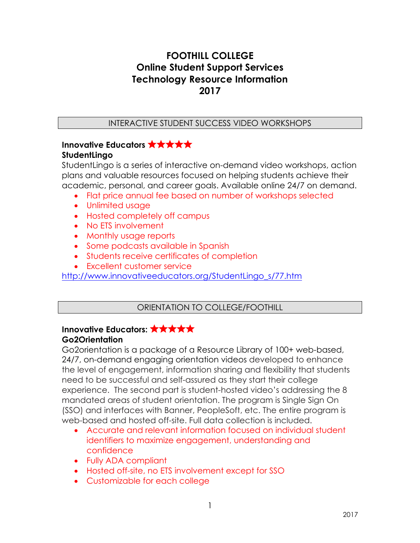# **FOOTHILL COLLEGE Online Student Support Services Technology Resource Information 2017**

#### INTERACTIVE STUDENT SUCCESS VIDEO WORKSHOPS

#### **Innovative Educators** ✮✮✮✮✮ **StudentLingo**

StudentLingo is a series of interactive on-demand video workshops, action plans and valuable resources focused on helping students achieve their academic, personal, and career goals. Available online 24/7 on demand.

- Flat price annual fee based on number of workshops selected
- Unlimited usage
- Hosted completely off campus
- No ETS involvement
- Monthly usage reports
- Some podcasts available in Spanish
- Students receive certificates of completion
- Excellent customer service

http://www.innovativeeducators.org/StudentLingo\_s/77.htm

## ORIENTATION TO COLLEGE/FOOTHILL

## **Innovative Educators:** ✮✮✮✮✮ **Go2Orientation**

Go2orientation is a package of a Resource Library of 100+ web-based, 24/7, on-demand engaging orientation videos developed to enhance the level of engagement, information sharing and flexibility that students need to be successful and self-assured as they start their college experience. The second part is student-hosted video's addressing the 8 mandated areas of student orientation. The program is Single Sign On (SSO) and interfaces with Banner, PeopleSoft, etc. The entire program is web-based and hosted off-site. Full data collection is included.

- Accurate and relevant information focused on individual student identifiers to maximize engagement, understanding and confidence
- Fully ADA compliant
- Hosted off-site, no ETS involvement except for SSO
- Customizable for each college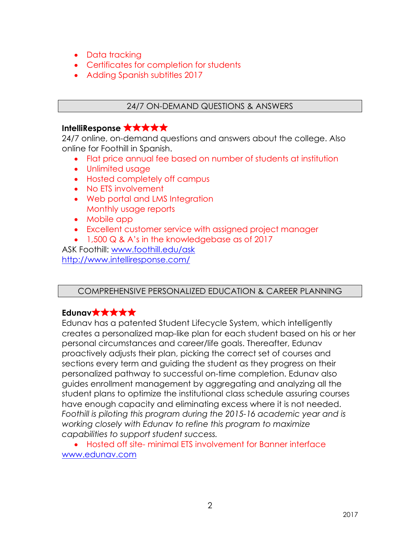- Data tracking
- Certificates for completion for students
- Adding Spanish subtitles 2017

## 24/7 ON-DEMAND QUESTIONS & ANSWERS

## **IntelliResponse** ✮✮✮✮✮

24/7 online, on-demand questions and answers about the college. Also online for Foothill in Spanish.

- Flat price annual fee based on number of students at institution
- Unlimited usage
- Hosted completely off campus
- No ETS involvement
- Web portal and LMS Integration Monthly usage reports
- Mobile app
- Excellent customer service with assigned project manager
- 1,500 Q & A's in the knowledgebase as of 2017

ASK Foothill: www.foothill.edu/ask http://www.intelliresponse.com/

## COMPREHENSIVE PERSONALIZED EDUCATION & CAREER PLANNING

# **Edunav**✮✮✮✮✮

Edunav has a patented Student Lifecycle System, which intelligently creates a personalized map-like plan for each student based on his or her personal circumstances and career/life goals. Thereafter, Edunav proactively adjusts their plan, picking the correct set of courses and sections every term and guiding the student as they progress on their personalized pathway to successful on-time completion. Edunav also guides enrollment management by aggregating and analyzing all the student plans to optimize the institutional class schedule assuring courses have enough capacity and eliminating excess where it is not needed. *Foothill is piloting this program during the 2015-16 academic year and is working closely with Edunav to refine this program to maximize capabilities to support student success.*

• Hosted off site- minimal ETS involvement for Banner interface www.edunav.com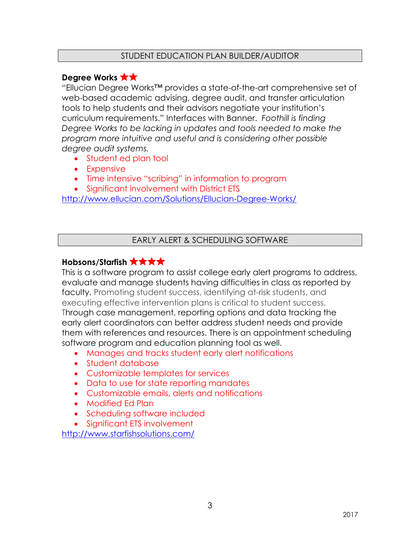#### STUDENT EDUCATION PLAN BUILDER/AUDITOR

## **Degree Works <b>★★**

"Ellucian Degree Works™ provides a state-of-the-art comprehensive set of web-based academic advising, degree audit, and transfer articulation tools to help students and their advisors negotiate your institution's curriculum requirements." Interfaces with Banner. *Foothill is finding Degree Works to be lacking in updates and tools needed to make the program more intuitive and useful and is considering other possible degree audit systems.*

- Student ed plan tool
- Expensive
- Time intensive "scribing" in information to program
- Significant involvement with District ETS

http://www.ellucian.com/Solutions/Ellucian-Degree-Works/

#### EARLY ALERT & SCHEDULING SOFTWARE

## **Hobsons/Starfish <b>贪贪贪贪**

This is a software program to assist college early alert programs to address, evaluate and manage students having difficulties in class as reported by faculty. Promoting student success, identifying at-risk students, and executing effective intervention plans is critical to student success. Through case management, reporting options and data tracking the early alert coordinators can better address student needs and provide them with references and resources. There is an appointment scheduling software program and education planning tool as well.

- Manages and tracks student early alert notifications
- Student database
- Customizable templates for services
- Data to use for state reporting mandates
- Customizable emails, alerts and notifications
- Modified Ed Plan
- Scheduling software included
- Significant ETS involvement

http://www.starfishsolutions.com/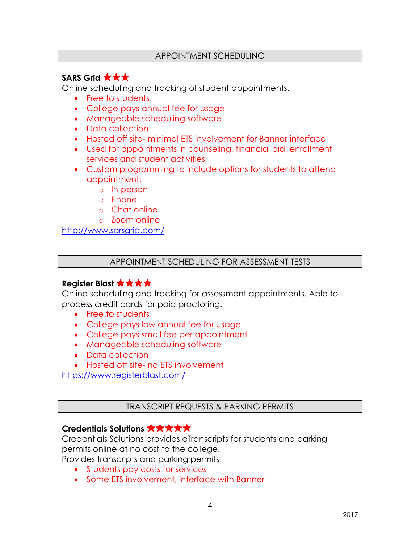#### APPOINTMENT SCHEDULING

# **SARS Grid** ✮✮✮

Online scheduling and tracking of student appointments.

- Free to students
- College pays annual fee for usage
- Manageable scheduling software
- Data collection
- Hosted off site- minimal ETS involvement for Banner interface
- Used for appointments in counseling, financial aid, enrollment services and student activities
- Custom programming to include options for students to attend appointment:
	- o In-person
	- o Phone
	- o Chat online
	- o Zoom online

http://www.sarsgrid.com/

#### APPOINTMENT SCHEDULING FOR ASSESSMENT TESTS

## **Register Blast** ✮✮✮✮

Online scheduling and tracking for assessment appointments. Able to process credit cards for paid proctoring.

- Free to students
- College pays low annual fee for usage
- College pays small fee per appointment
- Manageable scheduling software
- Data collection
- Hosted off site- no ETS involvement

https://www.registerblast.com/

TRANSCRIPT REQUESTS & PARKING PERMITS

## **Credentials Solutions** ✮✮✮✮✮

Credentials Solutions provides eTranscripts for students and parking permits online at no cost to the college. Provides transcripts and parking permits

- Students pay costs for services
	- Some ETS involvement, interface with Banner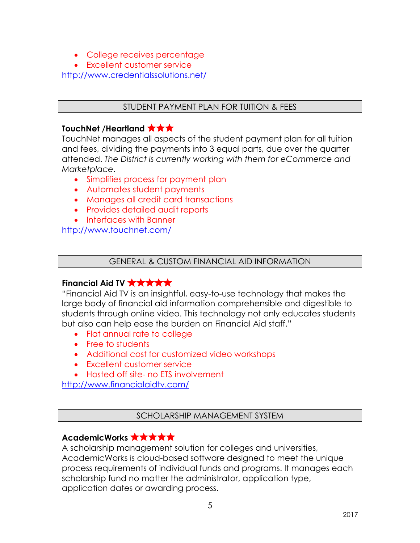- College receives percentage
- Excellent customer service

http://www.credentialssolutions.net/

#### STUDENT PAYMENT PLAN FOR TUITION & FEES

## **TouchNet /Heartland** ✮✮✮

TouchNet manages all aspects of the student payment plan for all tuition and fees, dividing the payments into 3 equal parts, due over the quarter attended. *The District is currently working with them for eCommerce and Marketplace*.

- Simplifies process for payment plan
- Automates student payments
- Manages all credit card transactions
- Provides detailed audit reports
- Interfaces with Banner

http://www.touchnet.com/

#### GENERAL & CUSTOM FINANCIAL AID INFORMATION

## **Financial Aid TV <b>☆☆☆☆☆**

"Financial Aid TV is an insightful, easy-to-use technology that makes the large body of financial aid information comprehensible and digestible to students through online video. This technology not only educates students but also can help ease the burden on Financial Aid staff."

- Flat annual rate to college
- Free to students
- Additional cost for customized video workshops
- Excellent customer service
- Hosted off site- no FTS involvement

http://www.financialaidtv.com/

#### SCHOLARSHIP MANAGEMENT SYSTEM

# **AcademicWorks <del><b>☆☆☆☆☆**☆</del>

A scholarship management solution for colleges and universities, AcademicWorks is cloud-based software designed to meet the unique process requirements of individual funds and programs. It manages each scholarship fund no matter the administrator, application type, application dates or awarding process.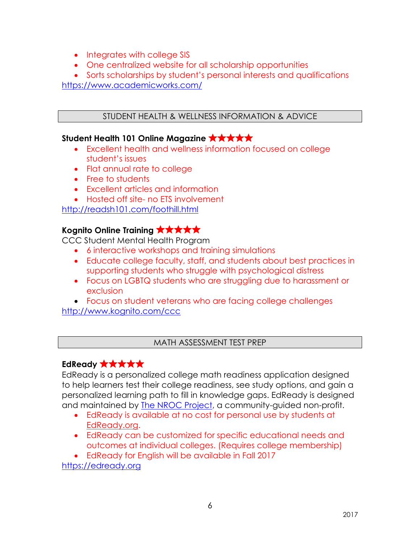- Integrates with college SIS
- One centralized website for all scholarship opportunities
- Sorts scholarships by student's personal interests and qualifications

https://www.academicworks.com/

## STUDENT HEALTH & WELLNESS INFORMATION & ADVICE

## **Student Health 101 Online Magazine** ✮✮✮✮✮

- Excellent health and wellness information focused on college student's issues
- Flat annual rate to college
- Free to students
- Excellent articles and information
- Hosted off site- no FTS involvement

http://readsh101.com/foothill.html

## **Kognito Online Training <b>☆★★★★**

CCC Student Mental Health Program

- 6 interactive workshops and training simulations
- Educate college faculty, staff, and students about best practices in supporting students who struggle with psychological distress
- Focus on LGBTQ students who are struggling due to harassment or exclusion
- Focus on student veterans who are facing college challenges

http://www.kognito.com/ccc

## MATH ASSESSMENT TEST PREP

# **EdReady** ✮✮✮✮✮

EdReady is a personalized college math readiness application designed to help learners test their college readiness, see study options, and gain a personalized learning path to fill in knowledge gaps. EdReady is designed and maintained by **The NROC Project**, a community-guided non-profit.

- EdReady is available at no cost for personal use by students at EdReady.org.
- EdReady can be customized for specific educational needs and outcomes at individual colleges. (Requires college membership)

• EdReady for English will be available in Fall 2017

https://edready.org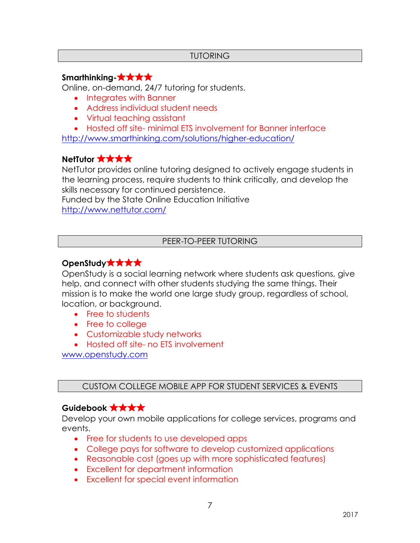#### TUTORING

## **Smarthinking-**✮✮✮✮

Online, on-demand, 24/7 tutoring for students.

- Integrates with Banner
- Address individual student needs
- Virtual teaching assistant

• Hosted off site- minimal ETS involvement for Banner interface

http://www.smarthinking.com/solutions/higher-education/

## **NetTutor** ✮✮✮✮

NetTutor provides online tutoring designed to actively engage students in the learning process, require students to think critically, and develop the skills necessary for continued persistence.

Funded by the State Online Education Initiative http://www.nettutor.com/

#### PEER-TO-PEER TUTORING

## **OpenStudy**✮✮✮✮

OpenStudy is a social learning network where students ask questions, give help, and connect with other students studying the same things. Their mission is to make the world one large study group, regardless of school, location, or background.

- Free to students
- Free to college
- Customizable study networks
- Hosted off site- no ETS involvement

www.openstudy.com

## CUSTOM COLLEGE MOBILE APP FOR STUDENT SERVICES & EVENTS

## **Guidebook** ✮✮✮✮

Develop your own mobile applications for college services, programs and events.

- Free for students to use developed apps
- College pays for software to develop customized applications
- Reasonable cost (goes up with more sophisticated features)
- Excellent for department information
- Excellent for special event information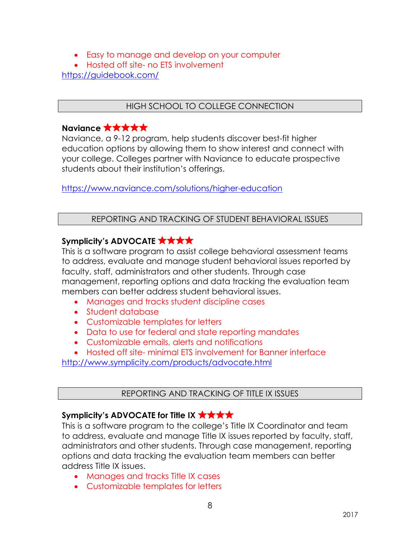- Easy to manage and develop on your computer
- Hosted off site- no ETS involvement

https://guidebook.com/

#### HIGH SCHOOL TO COLLEGE CONNECTION

#### **Naviance <b>★**★★★★

Naviance, a 9-12 program, help students discover best-fit higher education options by allowing them to show interest and connect with your college. Colleges partner with Naviance to educate prospective students about their institution's offerings.

https://www.naviance.com/solutions/higher-education

#### REPORTING AND TRACKING OF STUDENT BEHAVIORAL ISSUES

## **Symplicity's ADVOCATE** ✮✮✮✮

This is a software program to assist college behavioral assessment teams to address, evaluate and manage student behavioral issues reported by faculty, staff, administrators and other students. Through case management, reporting options and data tracking the evaluation team members can better address student behavioral issues.

- Manages and tracks student discipline cases
- Student database
- Customizable templates for letters
- Data to use for federal and state reporting mandates
- Customizable emails, alerts and notifications

• Hosted off site- minimal ETS involvement for Banner interface http://www.symplicity.com/products/advocate.html

#### REPORTING AND TRACKING OF TITLE IX ISSUES

## **Symplicity's ADVOCATE for Title IX** ✮✮✮✮

This is a software program to the college's Title IX Coordinator and team to address, evaluate and manage Title IX issues reported by faculty, staff, administrators and other students. Through case management, reporting options and data tracking the evaluation team members can better address Title IX issues.

- Manages and tracks Title IX cases
- Customizable templates for letters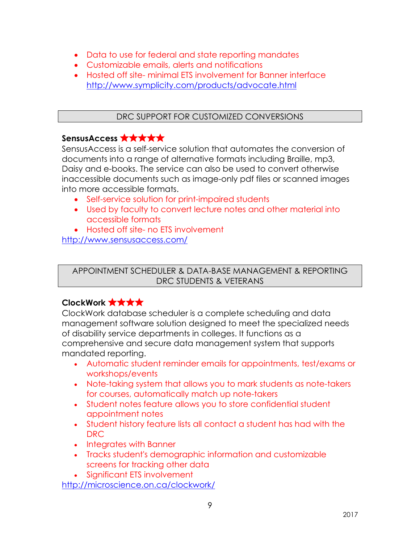- Data to use for federal and state reporting mandates
- Customizable emails, alerts and notifications
- Hosted off site- minimal ETS involvement for Banner interface http://www.symplicity.com/products/advocate.html

## DRC SUPPORT FOR CUSTOMIZED CONVERSIONS

# **SensusAccess** ✮✮✮✮✮

SensusAccess is a self-service solution that automates the conversion of documents into a range of alternative formats including Braille, mp3, Daisy and e-books. The service can also be used to convert otherwise inaccessible documents such as image-only pdf files or scanned images into more accessible formats.

- Self-service solution for print-impaired students
- Used by faculty to convert lecture notes and other material into accessible formats

• Hosted off site- no ETS involvement http://www.sensusaccess.com/

APPOINTMENT SCHEDULER & DATA-BASE MANAGEMENT & REPORTING DRC STUDENTS & VETERANS

# **ClockWork** ✮✮✮✮

ClockWork database scheduler is a complete scheduling and data management software solution designed to meet the specialized needs of disability service departments in colleges. It functions as a comprehensive and secure data management system that supports mandated reporting.

- Automatic student reminder emails for appointments, test/exams or workshops/events
- Note-taking system that allows you to mark students as note-takers for courses, automatically match up note-takers
- Student notes feature allows you to store confidential student appointment notes
- Student history feature lists all contact a student has had with the DRC
- Integrates with Banner
- Tracks student's demographic information and customizable screens for tracking other data
- Significant ETS involvement

http://microscience.on.ca/clockwork/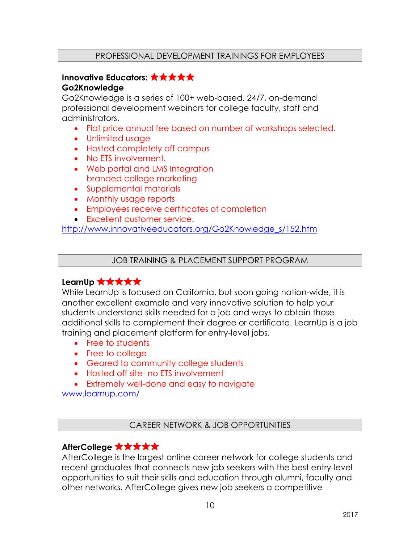# **Innovative Educators:** ✮✮✮✮✮

#### **Go2Knowledge**

Go2Knowledge is a series of 100+ web-based, 24/7, on-demand professional development webinars for college faculty, staff and administrators.

- Flat price annual fee based on number of workshops selected.
- Unlimited usage
- Hosted completely off campus
- No ETS involvement.
- Web portal and LMS Integration branded college marketing
- Supplemental materials
- Monthly usage reports
- Employees receive certificates of completion
- Excellent customer service.

http://www.innovativeeducators.org/Go2Knowledge\_s/152.htm

JOB TRAINING & PLACEMENT SUPPORT PROGRAM

#### **LearnUp <b>贪贪贪贪贪**

While LearnUp is focused on California, but soon going nation-wide, it is another excellent example and very innovative solution to help your students understand skills needed for a job and ways to obtain those additional skills to complement their degree or certificate. LearnUp is a job training and placement platform for entry-level jobs.

- Free to students
- Free to college
- Geared to community college students
- Hosted off site- no ETS involvement
- Extremely well-done and easy to navigate

www.learnup.com/

#### CAREER NETWORK & JOB OPPORTUNITIES

## **AfterCollege** ✮✮✮✮✮

AfterCollege is the largest online career network for college students and recent graduates that connects new job seekers with the best entry-level opportunities to suit their skills and education through alumni, faculty and other networks. AfterCollege gives new job seekers a competitive